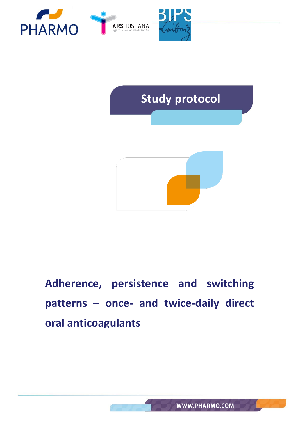



# **Adherence, persistence and switching patterns – once- and twice-daily direct oral anticoagulants**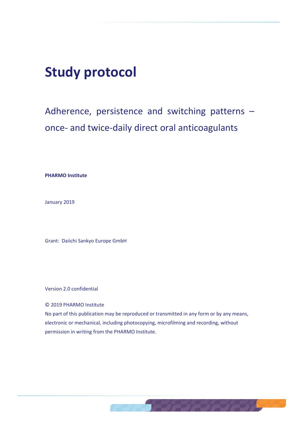## **Study protocol**

## Adherence, persistence and switching patterns – once- and twice-daily direct oral anticoagulants

**PHARMO Institute**

January 2019

Grant: Daiichi Sankyo Europe GmbH

Version 2.0 confidential

© 2019 PHARMO Institute

No part of this publication may be reproduced or transmitted in any form or by any means, electronic or mechanical, including photocopying, microfilming and recording, without permission in writing from the PHARMO Institute.

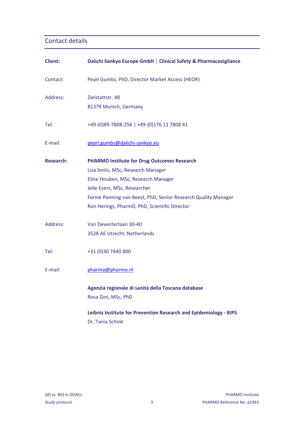#### Contact details

| <b>Client:</b>   | Daiichi Sankyo Europe GmbH   Clinical Safety & Pharmacovigilance  |
|------------------|-------------------------------------------------------------------|
| Contact:         | Pearl Gumbs, PhD, Director Market Access (HEOR)                   |
| Address:         | Zielstattstr. 48                                                  |
|                  | 81379 Munich, Germany                                             |
| Tel:             | +49-(0)89-7808-256   +49-(0)176 11 7808 41                        |
| E-mail:          | pearl.gumbs@daiichi-sankyo.eu                                     |
| <b>Research:</b> | <b>PHARMO Institute for Drug Outcomes Research</b>                |
|                  | Lisa Smits, MSc, Research Manager                                 |
|                  | Eline Houben, MSc, Research Manager                               |
|                  | Jelle Evers, MSc, Researcher                                      |
|                  | Fernie Penning-van Beest, PhD, Senior Research Quality Manager    |
|                  | Ron Herings, PharmD, PhD, Scientific Director                     |
| Address:         | Van Deventerlaan 30-40                                            |
|                  | 3528 AE Utrecht, Netherlands                                      |
| Tel:             | +31 (0)30 7440 800                                                |
| E-mail:          | pharmo@pharmo.nl                                                  |
|                  | Agenzia regionale di sanità della Toscana database                |
|                  | Rosa Gini, MSc, PhD                                               |
|                  | Leibniz Institute for Prevention Research and Epidemiology - BIPS |
|                  | Dr. Tania Schink                                                  |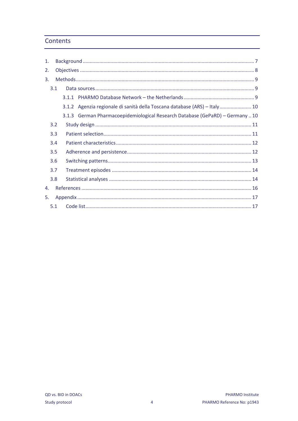#### **Contents**

| 1. |     |  |                                                                              |
|----|-----|--|------------------------------------------------------------------------------|
| 2. |     |  |                                                                              |
| 3. |     |  |                                                                              |
|    | 3.1 |  |                                                                              |
|    |     |  |                                                                              |
|    |     |  | 3.1.2 Agenzia regionale di sanità della Toscana database (ARS) - Italy 10    |
|    |     |  | 3.1.3 German Pharmacoepidemiological Research Database (GePaRD) - Germany 10 |
|    | 3.2 |  |                                                                              |
|    | 3.3 |  |                                                                              |
|    | 3.4 |  |                                                                              |
|    | 3.5 |  |                                                                              |
|    | 3.6 |  |                                                                              |
|    | 3.7 |  |                                                                              |
|    | 3.8 |  |                                                                              |
| 4. |     |  |                                                                              |
| 5. |     |  |                                                                              |
|    | 5.1 |  |                                                                              |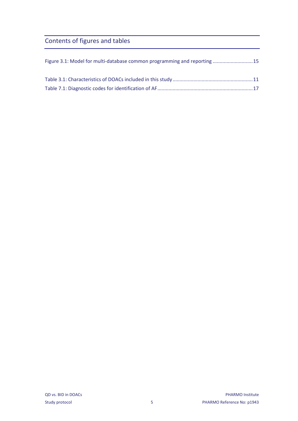## Contents of figures and tables

| Figure 3.1: Model for multi-database common programming and reporting 15 |  |
|--------------------------------------------------------------------------|--|
|                                                                          |  |
|                                                                          |  |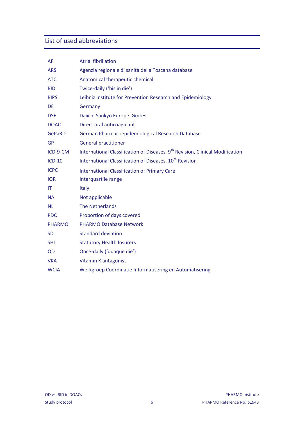### List of used abbreviations

| AF            | <b>Atrial fibrillation</b>                                                                |
|---------------|-------------------------------------------------------------------------------------------|
| <b>ARS</b>    | Agenzia regionale di sanità della Toscana database                                        |
| <b>ATC</b>    | Anatomical therapeutic chemical                                                           |
| <b>BID</b>    | Twice-daily ('bis in die')                                                                |
| <b>BIPS</b>   | Leibniz Institute for Prevention Research and Epidemiology                                |
| <b>DE</b>     | Germany                                                                                   |
| <b>DSE</b>    | Daiichi Sankyo Europe GmbH                                                                |
| <b>DOAC</b>   | Direct oral anticoagulant                                                                 |
| <b>GePaRD</b> | German Pharmacoepidemiological Research Database                                          |
| <b>GP</b>     | <b>General practitioner</b>                                                               |
| ICD-9-CM      | International Classification of Diseases, 9 <sup>th</sup> Revision, Clinical Modification |
| $ICD-10$      | International Classification of Diseases, 10 <sup>th</sup> Revision                       |
| <b>ICPC</b>   | <b>International Classification of Primary Care</b>                                       |
|               |                                                                                           |
| <b>IQR</b>    | Interquartile range                                                                       |
| IT            | Italy                                                                                     |
| <b>NA</b>     | Not applicable                                                                            |
| <b>NL</b>     | The Netherlands                                                                           |
| <b>PDC</b>    | Proportion of days covered                                                                |
| <b>PHARMO</b> | <b>PHARMO Database Network</b>                                                            |
| <b>SD</b>     | <b>Standard deviation</b>                                                                 |
| <b>SHI</b>    | <b>Statutory Health Insurers</b>                                                          |
| QD            | Once-daily ('quaque die')                                                                 |
| <b>VKA</b>    | Vitamin K antagonist                                                                      |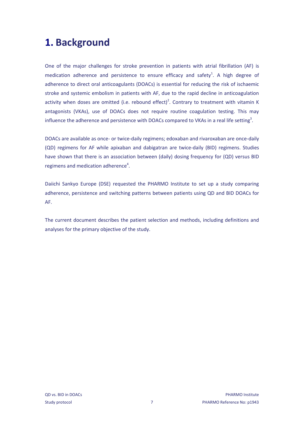## <span id="page-6-0"></span>**1. Background**

One of the major challenges for stroke prevention in patients with atrial fibrillation (AF) is medication adherence and persistence to ensure efficac[y](#page-15-1) and safety<sup>1</sup>. A high degree of adherence to direct oral anticoagulants (DOACs) is essential for reducing the risk of ischaemic stroke and systemic embolism in patients with AF, due to the rapid decline in anticoagulation activity when doses are omitted (i.e. rebound effect[\)](#page-15-2)<sup>2</sup>. Contrary to treatment with vitamin K antagonists (VKAs), use of DOACs does not require routine coagulation testing. This may influence the adherence and persistence with DOACs compared to VKAs in a real life settin[g](#page-15-3)<sup>3</sup>.

DOACs are available as once- or twice-daily regimens; edoxaban and rivaroxaban are once-daily (QD) regimens for AF while apixaban and dabigatran are twice-daily (BID) regimens. Studies have shown that there is an association between (daily) dosing frequency for (QD) versus BID r[e](#page-15-4)gimens and medication adherence<sup>4</sup>.

Daiichi Sankyo Europe (DSE) requested the PHARMO Institute to set up a study comparing adherence, persistence and switching patterns between patients using QD and BID DOACs for AF.

The current document describes the patient selection and methods, including definitions and analyses for the primary objective of the study.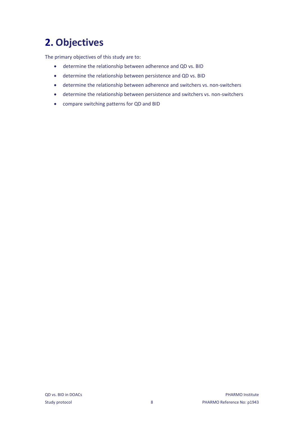## <span id="page-7-0"></span>**2. Objectives**

The primary objectives of this study are to:

- determine the relationship between adherence and QD vs. BID
- determine the relationship between persistence and QD vs. BID
- determine the relationship between adherence and switchers vs. non-switchers
- determine the relationship between persistence and switchers vs. non-switchers
- compare switching patterns for QD and BID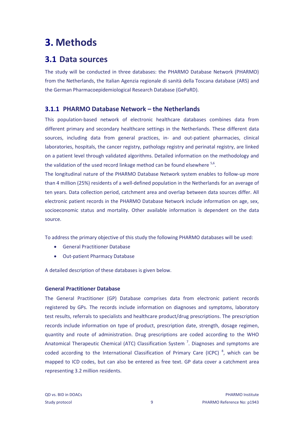## <span id="page-8-0"></span>**3. Methods**

### <span id="page-8-1"></span>**3.1 Data sources**

The study will be conducted in three databases: the PHARMO Database Network (PHARMO) from the Netherlands, the Italian Agenzia regionale di sanità della Toscana database (ARS) and the German Pharmacoepidemiological Research Database (GePaRD).

#### <span id="page-8-2"></span>**3.1.1 PHARMO Database Network – the Netherlands**

This population-based network of electronic healthcare databases combines data from different primary and secondary healthcare settings in the Netherlands. These different data sources, including data from general practices, in- and out-patient pharmacies, clinical laboratories, hospitals, the cancer registry, pathology registry and perinatal registry, are linked on a patient level through validated algorithms. Detailed information on the methodology and the validation of the used record linkage method can be found elsewhere  $5.6$  $5.6$ .

The longitudinal nature of the PHARMO Database Network system enables to follow-up more than 4 million (25%) residents of a well-defined population in the Netherlands for an average of ten years. Data collection period, catchment area and overlap between data sources differ. All electronic patient records in the PHARMO Database Network include information on age, sex, socioeconomic status and mortality. Other available information is dependent on the data source.

To address the primary objective of this study the following PHARMO databases will be used:

- General Practitioner Database
- Out-patient Pharmacy Database

A detailed description of these databases is given below.

#### **General Practitioner Database**

The General Practitioner (GP) Database comprises data from electronic patient records registered by GPs. The records include information on diagnoses and symptoms, laboratory test results, referrals to specialists and healthcare product/drug prescriptions. The prescription records include information on type of product, prescription date, strength, dosage regimen, quantity and route of administration. Drug prescriptions are coded according to the WHO Anatomical Therapeutic Chemical (ATC) Classification System<sup>[7](#page-15-7)</sup>. Diagnoses and symptoms are coded according to the International Classification of Primary Care (ICPC)<sup>[8](#page-15-8)</sup>, which can be mapped to ICD codes, but can also be entered as free text. GP data cover a catchment area representing 3.2 million residents.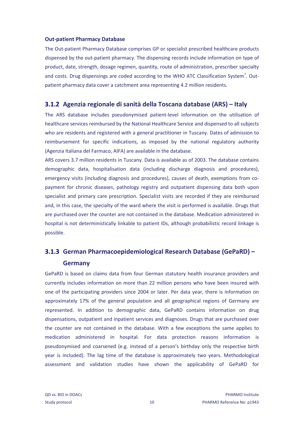#### **Out-patient Pharmacy Database**

The Out-patient Pharmacy Database comprises GP or specialist prescribed healthcare products dispensed by the out-patient pharmacy. The dispensing records include information on type of product, date, strength, dosage regimen, quantity, route of administration, prescriber specialty and costs. Drug dispensings are coded according to the WHO ATC Classification Syste[m](#page-15-7)<sup>7</sup>. Outpatient pharmacy data cover a catchment area representing 4.2 million residents.

#### <span id="page-9-0"></span>**3.1.2 Agenzia regionale di sanità della Toscana database (ARS) – Italy**

The ARS database includes pseudonymised patient-level information on the utilisation of healthcare services reimbursed by the National Healthcare Service and dispensed to all subjects who are residents and registered with a general practitioner in Tuscany. Dates of admission to reimbursement for specific indications, as imposed by the national regulatory authority (Agenzia Italiana del Farmaco, AIFA) are available in the database.

ARS covers 3.7 million residents in Tuscany. Data is available as of 2003. The database contains demographic data, hospitalisation data (including discharge diagnosis and procedures), emergency visits (including diagnosis and procedures), causes of death, exemptions from copayment for chronic diseases, pathology registry and outpatient dispensing data both upon specialist and primary care prescription. Specialist visits are recorded if they are reimbursed and, in this case, the specialty of the ward where the visit is performed is available. Drugs that are purchased over the counter are not contained in the database. Medication administered in hospital is not deterministically linkable to patient IDs, although probabilistic record linkage is possible.

### <span id="page-9-1"></span>**3.1.3 German Pharmacoepidemiological Research Database (GePaRD) – Germany**

GePaRD is based on claims data from four German statutory health insurance providers and currently includes information on more than 22 million persons who have been insured with one of the participating providers since 2004 or later. Per data year, there is information on approximately 17% of the general population and all geographical regions of Germany are represented. In addition to demographic data, GePaRD contains information on drug dispensations, outpatient and inpatient services and diagnoses. Drugs that are purchased over the counter are not contained in the database. With a few exceptions the same applies to medication administered in hospital. For data protection reasons information is pseudonymised and coarsened (e.g. instead of a person's birthday only the respective birth year is included). The lag time of the database is approximately two years. Methodological assessment and validation studies have shown the applicability of GePaRD for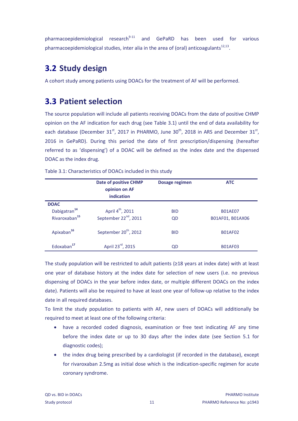pharmacoepidemiological research $9-11$  and GePaRD has been used for various pharmacoepidemiological studies, inter alia in the area of (oral) anticoagulants $^{12,13}$  $^{12,13}$  $^{12,13}$  $^{12,13}$ .

## <span id="page-10-0"></span>**3.2 Study design**

A cohort study among patients using DOACs for the treatment of AF will be performed.

### <span id="page-10-1"></span>**3.3 Patient selection**

The source population will include all patients receiving DOACs from the date of positive CHMP opinion on the AF indication for each drug (see [Table 3.1\)](#page-10-2) until the end of data availability for each database (December 31<sup>st</sup>, 2017 in PHARMO, June 30<sup>th</sup>, 2018 in ARS and December 31<sup>st</sup>, 2016 in GePaRD). During this period the date of first prescription/dispensing (hereafter referred to as 'dispensing') of a DOAC will be defined as the index date and the dispensed DOAC as the index drug.

|                           | <b>Date of positive CHMP</b><br>opinion on AF<br>indication | Dosage regimen | <b>ATC</b>       |
|---------------------------|-------------------------------------------------------------|----------------|------------------|
| <b>DOAC</b>               |                                                             |                |                  |
| Dabigatran <sup>14</sup>  | April 4 <sup>th</sup> , 2011                                | <b>BID</b>     | <b>B01AE07</b>   |
| Rivaroxaban <sup>15</sup> | September 22 <sup>nd</sup> , 2011                           | QD             | B01AF01, B01AX06 |
| Apixaban <sup>16</sup>    | September 20 <sup>th</sup> , 2012                           | <b>BID</b>     | <b>B01AF02</b>   |
| Edoxaban <sup>17</sup>    | April 23rd, 2015                                            | QD             | <b>B01AF03</b>   |

<span id="page-10-2"></span>Table 3.1: Characteristics of DOACs included in this study

The study population will be restricted to adult patients (≥18 years at index date) with at least one year of database history at the index date for selection of new users (i.e. no previous dispensing of DOACs in the year before index date, or multiple different DOACs on the index date). Patients will also be required to have at least one year of follow-up relative to the index date in all required databases.

To limit the study population to patients with AF, new users of DOACs will additionally be required to meet at least one of the following criteria:

- have a recorded coded diagnosis, examination or free text indicating AF any time before the index date or up to 30 days after the index date (see Section [5.1](#page-16-1) for diagnostic codes);
- the index drug being prescribed by a cardiologist (if recorded in the database), except for rivaroxaban 2.5mg as initial dose which is the indication-specific regimen for acute coronary syndrome.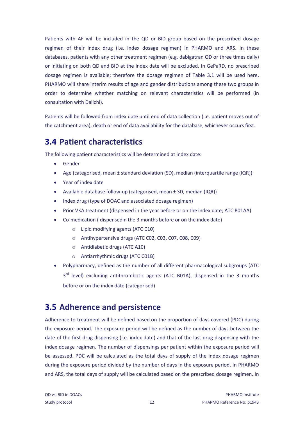Patients with AF will be included in the QD or BID group based on the prescribed dosage regimen of their index drug (i.e. index dosage regimen) in PHARMO and ARS. In these databases, patients with any other treatment regimen (e.g. dabigatran QD or three times daily) or initiating on both QD and BID at the index date will be excluded. In GePaRD, no prescribed dosage regimen is available; therefore the dosage regimen of [Table 3.1](#page-10-2) will be used here. PHARMO will share interim results of age and gender distributions among these two groups in order to determine whether matching on relevant characteristics will be performed (in consultation with Daiichi).

Patients will be followed from index date until end of data collection (i.e. patient moves out of the catchment area), death or end of data availability for the database, whichever occurs first.

## <span id="page-11-0"></span>**3.4 Patient characteristics**

The following patient characteristics will be determined at index date:

- Gender
- Age (categorised, mean  $\pm$  standard deviation (SD), median (interquartile range (IQR))
- Year of index date
- Available database follow-up (categorised, mean ± SD, median (IQR))
- Index drug (type of DOAC and associated dosage regimen)
- Prior VKA treatment (dispensed in the year before or on the index date; ATC B01AA)
- Co-medication ( dispensedin the 3 months before or on the index date)
	- o Lipid modifying agents (ATC C10)
	- o Antihypertensive drugs (ATC C02, C03, C07, C08, C09)
	- o Antidiabetic drugs (ATC A10)
	- o Antiarrhythmic drugs (ATC C01B)
- Polypharmacy, defined as the number of all different pharmacological subgroups (ATC 3<sup>rd</sup> level) excluding antithrombotic agents (ATC B01A), dispensed in the 3 months before or on the index date (categorised)

## <span id="page-11-1"></span>**3.5 Adherence and persistence**

Adherence to treatment will be defined based on the proportion of days covered (PDC) during the exposure period. The exposure period will be defined as the number of days between the date of the first drug dispensing (i.e. index date) and that of the last drug dispensing with the index dosage regimen. The number of dispensings per patient within the exposure period will be assessed. PDC will be calculated as the total days of supply of the index dosage regimen during the exposure period divided by the number of days in the exposure period. In PHARMO and ARS, the total days of supply will be calculated based on the prescribed dosage regimen. In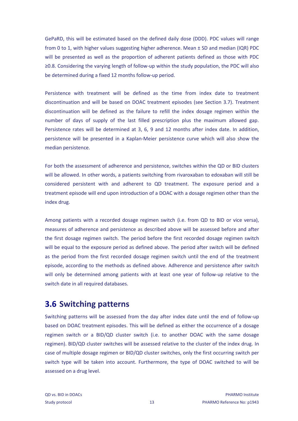GePaRD, this will be estimated based on the defined daily dose (DDD). PDC values will range from 0 to 1, with higher values suggesting higher adherence. Mean ± SD and median (IQR) PDC will be presented as well as the proportion of adherent patients defined as those with PDC ≥0.8. Considering the varying length of follow-up within the study population, the PDC will also be determined during a fixed 12 months follow-up period.

Persistence with treatment will be defined as the time from index date to treatment discontinuation and will be based on DOAC treatment episodes (see Section [3.7\)](#page-13-0). Treatment discontinuation will be defined as the failure to refill the index dosage regimen within the number of days of supply of the last filled prescription plus the maximum allowed gap. Persistence rates will be determined at 3, 6, 9 and 12 months after index date. In addition, persistence will be presented in a Kaplan-Meier persistence curve which will also show the median persistence.

For both the assessment of adherence and persistence, switches within the QD or BID clusters will be allowed. In other words, a patients switching from rivaroxaban to edoxaban will still be considered persistent with and adherent to QD treatment. The exposure period and a treatment episode will end upon introduction of a DOAC with a dosage regimen other than the index drug.

Among patients with a recorded dosage regimen switch (i.e. from QD to BID or vice versa), measures of adherence and persistence as described above will be assessed before and after the first dosage regimen switch. The period before the first recorded dosage regimen switch will be equal to the exposure period as defined above. The period after switch will be defined as the period from the first recorded dosage regimen switch until the end of the treatment episode, according to the methods as defined above. Adherence and persistence after switch will only be determined among patients with at least one year of follow-up relative to the switch date in all required databases.

### <span id="page-12-0"></span>**3.6 Switching patterns**

Switching patterns will be assessed from the day after index date until the end of follow-up based on DOAC treatment episodes. This will be defined as either the occurrence of a dosage regimen switch or a BID/QD cluster switch (i.e. to another DOAC with the same dosage regimen). BID/QD cluster switches will be assessed relative to the cluster of the index drug. In case of multiple dosage regimen or BID/QD cluster switches, only the first occurring switch per switch type will be taken into account. Furthermore, the type of DOAC switched to will be assessed on a drug level.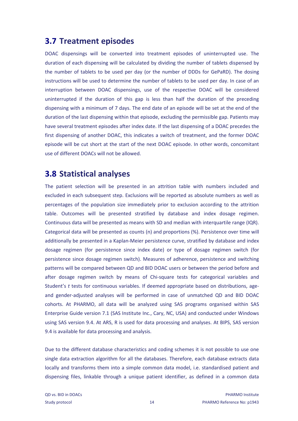### <span id="page-13-0"></span>**3.7 Treatment episodes**

DOAC dispensings will be converted into treatment episodes of uninterrupted use. The duration of each dispensing will be calculated by dividing the number of tablets dispensed by the number of tablets to be used per day (or the number of DDDs for GePaRD). The dosing instructions will be used to determine the number of tablets to be used per day. In case of an interruption between DOAC dispensings, use of the respective DOAC will be considered uninterrupted if the duration of this gap is less than half the duration of the preceding dispensing with a minimum of 7 days. The end date of an episode will be set at the end of the duration of the last dispensing within that episode, excluding the permissible gap. Patients may have several treatment episodes after index date. If the last dispensing of a DOAC precedes the first dispensing of another DOAC, this indicates a switch of treatment, and the former DOAC episode will be cut short at the start of the next DOAC episode. In other words, concomitant use of different DOACs will not be allowed.

## <span id="page-13-1"></span>**3.8 Statistical analyses**

The patient selection will be presented in an attrition table with numbers included and excluded in each subsequent step. Exclusions will be reported as absolute numbers as well as percentages of the population size immediately prior to exclusion according to the attrition table. Outcomes will be presented stratified by database and index dosage regimen. Continuous data will be presented as means with SD and median with interquartile range (IQR). Categorical data will be presented as counts (n) and proportions (%). Persistence over time will additionally be presented in a Kaplan-Meier persistence curve, stratified by database and index dosage regimen (for persistence since index date) or type of dosage regimen switch (for persistence since dosage regimen switch). Measures of adherence, persistence and switching patterns will be compared between QD and BID DOAC users or between the period before and after dosage regimen switch by means of Chi-square tests for categorical variables and Student's *t* tests for continuous variables. If deemed appropriate based on distributions, ageand gender-adjusted analyses will be performed in case of unmatched QD and BID DOAC cohorts. At PHARMO, all data will be analyzed using SAS programs organised within SAS Enterprise Guide version 7.1 (SAS Institute Inc., Cary, NC, USA) and conducted under Windows using SAS version 9.4. At ARS, R is used for data processing and analyses. At BIPS, SAS version 9.4 is available for data processing and analysis.

Due to the different database characteristics and coding schemes it is not possible to use one single data extraction algorithm for all the databases. Therefore, each database extracts data locally and transforms them into a simple common data model, i.e. standardised patient and dispensing files, linkable through a unique patient identifier, as defined in a common data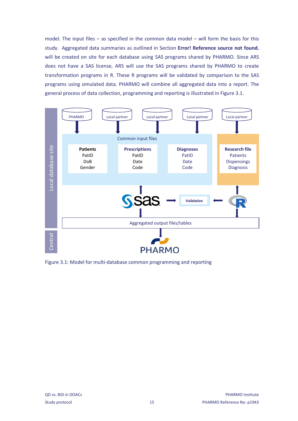model. The input files – as specified in the common data model – will form the basis for this study. Aggregated data summaries as outlined in Section **Error! Reference source not found.** will be created on site for each database using SAS programs shared by PHARMO. Since ARS does not have a SAS license, ARS will use the SAS programs shared by PHARMO to create transformation programs in R. These R programs will be validated by comparison to the SAS programs using simulated data. PHARMO will combine all aggregated data into a report. The general process of data collection, programming and reporting is illustrated in [Figure 3.1.](#page-14-0)



<span id="page-14-0"></span>Figure 3.1: Model for multi-database common programming and reporting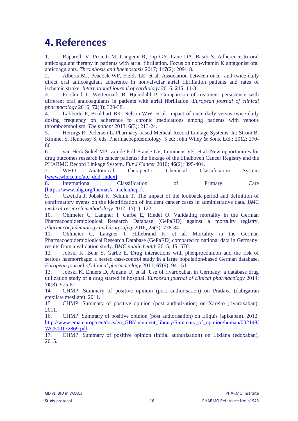## <span id="page-15-0"></span>**4. References**

<span id="page-15-1"></span>1. Raparelli V, Proietti M, Cangemi R, Lip GY, Lane DA, Basili S. Adherence to oral anticoagulant therapy in patients with atrial fibrillation. Focus on non-vitamin K antagonist oral anticoagulants. *Thrombosis and haemostasis* 2017; **117**(2): 209-18.

<span id="page-15-2"></span>2. Alberts MJ, Peacock WF, Fields LE, et al. Association between once- and twice-daily direct oral anticoagulant adherence in nonvalvular atrial fibrillation patients and rates of ischemic stroke. *International journal of cardiology* 2016; **215**: 11-3.

<span id="page-15-3"></span>3. Forslund T, Wettermark B, Hjemdahl P. Comparison of treatment persistence with different oral anticoagulants in patients with atrial fibrillation. *European journal of clinical pharmacology* 2016; **72**(3): 329-38.

<span id="page-15-4"></span>4. Laliberté F, Bookhart BK, Nelson WW, et al. Impact of once-daily versus twice-daily dosing frequency on adherence to chronic medications among patients with venous thromboembolism. *The patient* 2013; **6**(3): 213-24.

<span id="page-15-5"></span>5. Herings R, Pedersen L. Pharmacy-based Medical Record Linkage Systems. In: Strom B, Kimmel S, Hennessy S, eds. Pharmacoepidemiology. 5 ed: John Wiley & Sons, Ltd.; 2012: 270- 86.

<span id="page-15-6"></span>6. van Herk-Sukel MP, van de Poll-Franse LV, Lemmens VE, et al. New opportunities for drug outcomes research in cancer patients: the linkage of the Eindhoven Cancer Registry and the PHARMO Record Linkage System. *Eur J Cancer* 2010; **46**(2): 395-404.

<span id="page-15-7"></span>7. WHO Anatomical Therapeutic Chemical Classification System [\[www.whocc.no/atc\\_ddd\\_index\].](http://www.whocc.no/atc_ddd_index%5d)

<span id="page-15-8"></span>8. International Classification of Primary Care [\[https://www.nhg.org/themas/artikelen/icpc\].](https://www.nhg.org/themas/artikelen/icpc%5d)

<span id="page-15-9"></span>9. Czwikla J, Jobski K, Schink T. The impact of the lookback period and definition of confirmatory events on the identification of incident cancer cases in administrative data. *BMC medical research methodology* 2017; **17**(1): 122.

10. Ohlmeier C, Langner I, Garbe E, Riedel O. Validating mortality in the German Pharmacoepidemiological Research Database (GePaRD) against a mortality registry. *Pharmacoepidemiology and drug safety* 2016; **25**(7): 778-84.

11. Ohlmeier C, Langner I, Hillebrand K, et al. Mortality in the German Pharmacoepidemiological Research Database (GePaRD) compared to national data in Germany: results from a validation study. *BMC public health* 2015; **15**: 570.

<span id="page-15-10"></span>12. Jobski K, Behr S, Garbe E. Drug interactions with phenprocoumon and the risk of serious haemorrhage: a nested case-control study in a large population-based German database. *European journal of clinical pharmacology* 2011; **67**(9): 941-51.

<span id="page-15-11"></span>13. Jobski K, Enders D, Amann U, et al. Use of rivaroxaban in Germany: a database drug utilization study of a drug started in hospital. *European journal of clinical pharmacology* 2014; **70**(8): 975-81.

<span id="page-15-12"></span>14. CHMP. Summary of positive opinion (post authorisation) on Pradaxa (dabigatran etexilate mesilate). 2011.

<span id="page-15-13"></span>15. CHMP. Summary of positive opinion (post authorisation) on Xarelto (rivaroxaban). 2011.

<span id="page-15-14"></span>16. CHMP. Summary of positive opinion (post authorisation) on Eliquis (apixaban). 2012. [http://www.ema.europa.eu/docs/en\\_GB/document\\_library/Summary\\_of\\_opinion/human/002148/](http://www.ema.europa.eu/docs/en_GB/document_library/Summary_of_opinion/human/002148/WC500132869.pdf) [WC500132869.pdf.](http://www.ema.europa.eu/docs/en_GB/document_library/Summary_of_opinion/human/002148/WC500132869.pdf)

<span id="page-15-15"></span>17. CHMP. Summary of positive opinion (initial authorisation) on Lixiana (edoxaban). 2015.